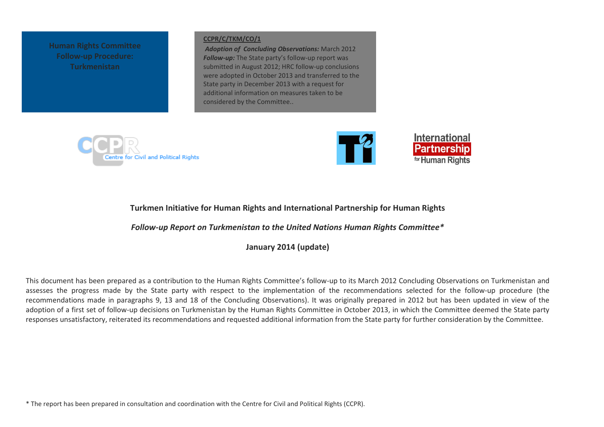**Human Rights Committee Follow-up Procedure: Turkmenistan** 

#### **[CCPR/C/TKM/CO/1](http://www2.ohchr.org/english/bodies/hrc/docs/CCPR.C.TKM.CO.1_en.pdf)**

*Adoption of Concluding Observations:* March 2012 *Follow-up:* The State party's follow-up report was submitted in August 2012; HRC follow-up conclusions were adopted in October 2013 and transferred to the State party in December 2013 with a request for additional information on measures taken to be considered by the Committee..





## **Turkmen Initiative for Human Rights and International Partnership for Human Rights**

*Follow-up Report on Turkmenistan to the United Nations Human Rights Committee\**

**January 2014 (update)**

This document has been prepared as a contribution to the Human Rights Committee's follow-up to its March 2012 Concluding Observations on Turkmenistan and assesses the progress made by the State party with respect to the implementation of the recommendations selected for the follow-up procedure (the recommendations made in paragraphs 9, 13 and 18 of the Concluding Observations). It was originally prepared in 2012 but has been updated in view of the adoption of a first set of follow-up decisions on Turkmenistan by the Human Rights Committee in October 2013, in which the Committee deemed the State party responses unsatisfactory, reiterated its recommendations and requested additional information from the State party for further consideration by the Committee.

\* The report has been prepared in consultation and coordination with the Centre for Civil and Political Rights (CCPR).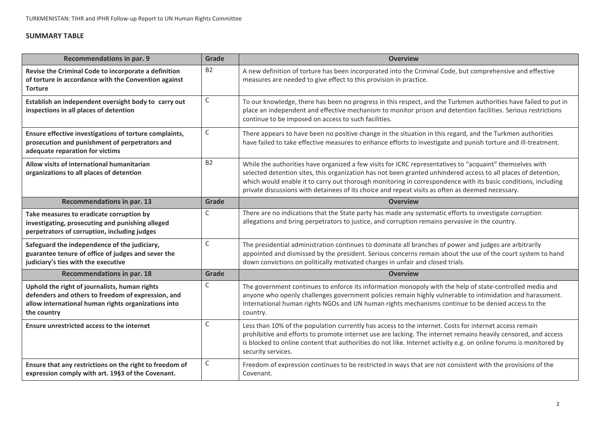# **SUMMARY TABLE**

| <b>Recommendations in par. 9</b>                                                                                                                                          | Grade          | <b>Overview</b>                                                                                                                                                                                                                                                                                                                                                                                                                                 |  |  |
|---------------------------------------------------------------------------------------------------------------------------------------------------------------------------|----------------|-------------------------------------------------------------------------------------------------------------------------------------------------------------------------------------------------------------------------------------------------------------------------------------------------------------------------------------------------------------------------------------------------------------------------------------------------|--|--|
| Revise the Criminal Code to incorporate a definition<br>of torture in accordance with the Convention against<br><b>Torture</b>                                            | B <sub>2</sub> | A new definition of torture has been incorporated into the Criminal Code, but comprehensive and effective<br>measures are needed to give effect to this provision in practice.                                                                                                                                                                                                                                                                  |  |  |
| Establish an independent oversight body to carry out<br>inspections in all places of detention                                                                            | $\mathsf C$    | To our knowledge, there has been no progress in this respect, and the Turkmen authorities have failed to put in<br>place an independent and effective mechanism to monitor prison and detention facilities. Serious restrictions<br>continue to be imposed on access to such facilities.                                                                                                                                                        |  |  |
| Ensure effective investigations of torture complaints,<br>prosecution and punishment of perpetrators and<br>adequate reparation for victims                               | С              | There appears to have been no positive change in the situation in this regard, and the Turkmen authorities<br>have failed to take effective measures to enhance efforts to investigate and punish torture and ill-treatment.                                                                                                                                                                                                                    |  |  |
| Allow visits of international humanitarian<br>organizations to all places of detention                                                                                    | <b>B2</b>      | While the authorities have organized a few visits for ICRC representatives to "acquaint" themselves with<br>selected detention sites, this organization has not been granted unhindered access to all places of detention,<br>which would enable it to carry out thorough monitoring in correspondence with its basic conditions, including<br>private discussions with detainees of its choice and repeat visits as often as deemed necessary. |  |  |
| <b>Recommendations in par. 13</b>                                                                                                                                         | Grade          | <b>Overview</b>                                                                                                                                                                                                                                                                                                                                                                                                                                 |  |  |
| Take measures to eradicate corruption by<br>investigating, prosecuting and punishing alleged<br>perpetrators of corruption, including judges                              | C              | There are no indications that the State party has made any systematic efforts to investigate corruption<br>allegations and bring perpetrators to justice, and corruption remains pervasive in the country.                                                                                                                                                                                                                                      |  |  |
| Safeguard the independence of the judiciary,<br>guarantee tenure of office of judges and sever the<br>judiciary's ties with the executive                                 | C              | The presidential administration continues to dominate all branches of power and judges are arbitrarily<br>appointed and dismissed by the president. Serious concerns remain about the use of the court system to hand<br>down convictions on politically motivated charges in unfair and closed trials.                                                                                                                                         |  |  |
| <b>Recommendations in par. 18</b>                                                                                                                                         | Grade          | <b>Overview</b>                                                                                                                                                                                                                                                                                                                                                                                                                                 |  |  |
| Uphold the right of journalists, human rights<br>defenders and others to freedom of expression, and<br>allow international human rights organizations into<br>the country | $\mathsf C$    | The government continues to enforce its information monopoly with the help of state-controlled media and<br>anyone who openly challenges government policies remain highly vulnerable to intimidation and harassment.<br>International human rights NGOs and UN human rights mechanisms continue to be denied access to the<br>country.                                                                                                         |  |  |
| Ensure unrestricted access to the internet                                                                                                                                | $\mathsf C$    | Less than 10% of the population currently has access to the internet. Costs for internet access remain<br>prohibitive and efforts to promote internet use are lacking. The internet remains heavily censored, and access<br>is blocked to online content that authorities do not like. Internet activity e.g. on online forums is monitored by<br>security services.                                                                            |  |  |
| Ensure that any restrictions on the right to freedom of<br>expression comply with art. 19§3 of the Covenant.                                                              | С              | Freedom of expression continues to be restricted in ways that are not consistent with the provisions of the<br>Covenant.                                                                                                                                                                                                                                                                                                                        |  |  |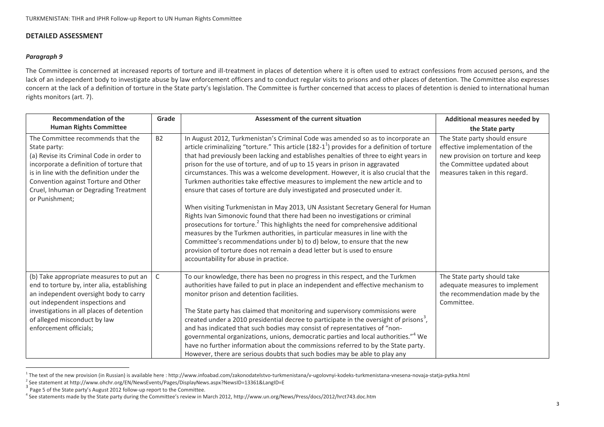## **DETAILED ASSESSMENT**

### *Paragraph 9*

**.** 

The Committee is concerned at increased reports of torture and ill-treatment in places of detention where it is often used to extract confessions from accused persons, and the lack of an independent body to investigate abuse by law enforcement officers and to conduct regular visits to prisons and other places of detention. The Committee also expresses concern at the lack of a definition of torture in the State party's legislation. The Committee is further concerned that access to places of detention is denied to international human rights monitors (art. 7).

| <b>Recommendation of the</b>                                                                                                                                                                                                                                                             | Grade     | Assessment of the current situation                                                                                                                                                                                                                                                                                                                                                                                                                                                                                                                                                                                                                                                                                                                                                                                                                                                                                                                                                                                                                                                                                                                                        | Additional measures needed by                                                                                                                                          |
|------------------------------------------------------------------------------------------------------------------------------------------------------------------------------------------------------------------------------------------------------------------------------------------|-----------|----------------------------------------------------------------------------------------------------------------------------------------------------------------------------------------------------------------------------------------------------------------------------------------------------------------------------------------------------------------------------------------------------------------------------------------------------------------------------------------------------------------------------------------------------------------------------------------------------------------------------------------------------------------------------------------------------------------------------------------------------------------------------------------------------------------------------------------------------------------------------------------------------------------------------------------------------------------------------------------------------------------------------------------------------------------------------------------------------------------------------------------------------------------------------|------------------------------------------------------------------------------------------------------------------------------------------------------------------------|
| <b>Human Rights Committee</b>                                                                                                                                                                                                                                                            |           |                                                                                                                                                                                                                                                                                                                                                                                                                                                                                                                                                                                                                                                                                                                                                                                                                                                                                                                                                                                                                                                                                                                                                                            | the State party                                                                                                                                                        |
| The Committee recommends that the<br>State party:<br>(a) Revise its Criminal Code in order to<br>incorporate a definition of torture that<br>is in line with the definition under the<br>Convention against Torture and Other<br>Cruel, Inhuman or Degrading Treatment<br>or Punishment; | <b>B2</b> | In August 2012, Turkmenistan's Criminal Code was amended so as to incorporate an<br>article criminalizing "torture." This article $(182-1^1)$ provides for a definition of torture<br>that had previously been lacking and establishes penalties of three to eight years in<br>prison for the use of torture, and of up to 15 years in prison in aggravated<br>circumstances. This was a welcome development. However, it is also crucial that the<br>Turkmen authorities take effective measures to implement the new article and to<br>ensure that cases of torture are duly investigated and prosecuted under it.<br>When visiting Turkmenistan in May 2013, UN Assistant Secretary General for Human<br>Rights Ivan Simonovic found that there had been no investigations or criminal<br>prosecutions for torture. <sup>2</sup> This highlights the need for comprehensive additional<br>measures by the Turkmen authorities, in particular measures in line with the<br>Committee's recommendations under b) to d) below, to ensure that the new<br>provision of torture does not remain a dead letter but is used to ensure<br>accountability for abuse in practice. | The State party should ensure<br>effective implementation of the<br>new provision on torture and keep<br>the Committee updated about<br>measures taken in this regard. |
| (b) Take appropriate measures to put an<br>end to torture by, inter alia, establishing<br>an independent oversight body to carry<br>out independent inspections and<br>investigations in all places of detention<br>of alleged misconduct by law<br>enforcement officials;               | C         | To our knowledge, there has been no progress in this respect, and the Turkmen<br>authorities have failed to put in place an independent and effective mechanism to<br>monitor prison and detention facilities.<br>The State party has claimed that monitoring and supervisory commissions were<br>created under a 2010 presidential decree to participate in the oversight of prisons <sup>3</sup> ,<br>and has indicated that such bodies may consist of representatives of "non-<br>governmental organizations, unions, democratic parties and local authorities." <sup>4</sup> We<br>have no further information about the commissions referred to by the State party.<br>However, there are serious doubts that such bodies may be able to play any                                                                                                                                                                                                                                                                                                                                                                                                                    | The State party should take<br>adequate measures to implement<br>the recommendation made by the<br>Committee.                                                          |

<sup>&</sup>lt;sup>1</sup> The text of the new provision (in Russian) is available here : http://www.infoabad.com/zakonodatelstvo-turkmenistana/v-ugolovnyi-kodeks-turkmenistana-vnesena-novaja-statja-pytka.html

<sup>2</sup> See statement at http://www.ohchr.org/EN/NewsEvents/Pages/DisplayNews.aspx?NewsID=13361&LangID=E

<sup>&</sup>lt;sup>3</sup> Page 5 of the State party's August 2012 follow-up report to the Committee.

<sup>4</sup> See statements made by the State party during the Committee's review in March 2012, http://www.un.org/News/Press/docs/2012/hrct743.doc.htm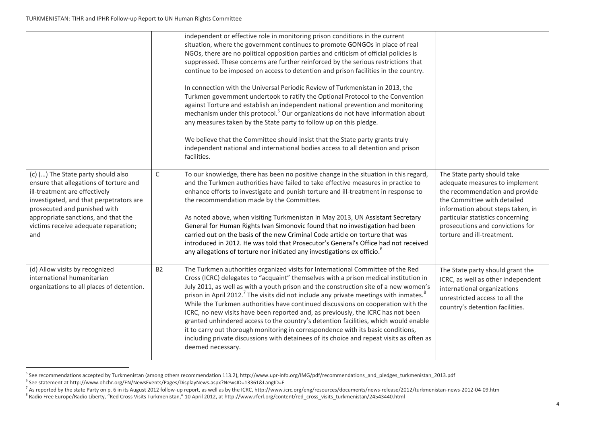|                                                                                                                                                                                                                                                                                |             | independent or effective role in monitoring prison conditions in the current<br>situation, where the government continues to promote GONGOs in place of real<br>NGOs, there are no political opposition parties and criticism of official policies is<br>suppressed. These concerns are further reinforced by the serious restrictions that<br>continue to be imposed on access to detention and prison facilities in the country.<br>In connection with the Universal Periodic Review of Turkmenistan in 2013, the<br>Turkmen government undertook to ratify the Optional Protocol to the Convention<br>against Torture and establish an independent national prevention and monitoring<br>mechanism under this protocol. <sup>5</sup> Our organizations do not have information about<br>any measures taken by the State party to follow up on this pledge.<br>We believe that the Committee should insist that the State party grants truly<br>independent national and international bodies access to all detention and prison<br>facilities. |                                                                                                                                                                                                                                                                           |
|--------------------------------------------------------------------------------------------------------------------------------------------------------------------------------------------------------------------------------------------------------------------------------|-------------|---------------------------------------------------------------------------------------------------------------------------------------------------------------------------------------------------------------------------------------------------------------------------------------------------------------------------------------------------------------------------------------------------------------------------------------------------------------------------------------------------------------------------------------------------------------------------------------------------------------------------------------------------------------------------------------------------------------------------------------------------------------------------------------------------------------------------------------------------------------------------------------------------------------------------------------------------------------------------------------------------------------------------------------------------|---------------------------------------------------------------------------------------------------------------------------------------------------------------------------------------------------------------------------------------------------------------------------|
| (c) () The State party should also<br>ensure that allegations of torture and<br>ill-treatment are effectively<br>investigated, and that perpetrators are<br>prosecuted and punished with<br>appropriate sanctions, and that the<br>victims receive adequate reparation;<br>and | $\mathsf C$ | To our knowledge, there has been no positive change in the situation in this regard,<br>and the Turkmen authorities have failed to take effective measures in practice to<br>enhance efforts to investigate and punish torture and ill-treatment in response to<br>the recommendation made by the Committee.<br>As noted above, when visiting Turkmenistan in May 2013, UN Assistant Secretary<br>General for Human Rights Ivan Simonovic found that no investigation had been<br>carried out on the basis of the new Criminal Code article on torture that was<br>introduced in 2012. He was told that Prosecutor's General's Office had not received<br>any allegations of torture nor initiated any investigations ex officio. <sup>6</sup>                                                                                                                                                                                                                                                                                                    | The State party should take<br>adequate measures to implement<br>the recommendation and provide<br>the Committee with detailed<br>information about steps taken, in<br>particular statistics concerning<br>prosecutions and convictions for<br>torture and ill-treatment. |
| (d) Allow visits by recognized<br>international humanitarian<br>organizations to all places of detention.                                                                                                                                                                      | <b>B2</b>   | The Turkmen authorities organized visits for International Committee of the Red<br>Cross (ICRC) delegates to "acquaint" themselves with a prison medical institution in<br>July 2011, as well as with a youth prison and the construction site of a new women's<br>prison in April 2012. <sup>7</sup> The visits did not include any private meetings with inmates. <sup>8</sup><br>While the Turkmen authorities have continued discussions on cooperation with the<br>ICRC, no new visits have been reported and, as previously, the ICRC has not been<br>granted unhindered access to the country's detention facilities, which would enable<br>it to carry out thorough monitoring in correspondence with its basic conditions,<br>including private discussions with detainees of its choice and repeat visits as often as<br>deemed necessary.                                                                                                                                                                                              | The State party should grant the<br>ICRC, as well as other independent<br>international organizations<br>unrestricted access to all the<br>country's detention facilities.                                                                                                |

<sup>&</sup>lt;sup>5</sup> See recommendations accepted by Turkmenistan (among others recommendation 113.2), http://www.upr-info.org/IMG/pdf/recommendations\_and\_pledges\_turkmenistan\_2013.pdf

**.** 

<sup>6</sup> See statement at http://www.ohchr.org/EN/NewsEvents/Pages/DisplayNews.aspx?NewsID=13361&LangID=E

 $^7$  As reported by the state Party on p. 6 in its August 2012 follow-up report, as well as by the ICRC, http://www.icrc.org/eng/resources/documents/news-release/2012/turkmenistan-news-2012-04-09.htm

<sup>&</sup>lt;sup>8</sup> Radio Free Europe/Radio Liberty, "Red Cross Visits Turkmenistan," 10 April 2012, at http://www.rferl.org/content/red\_cross\_visits\_turkmenistan/24543440.html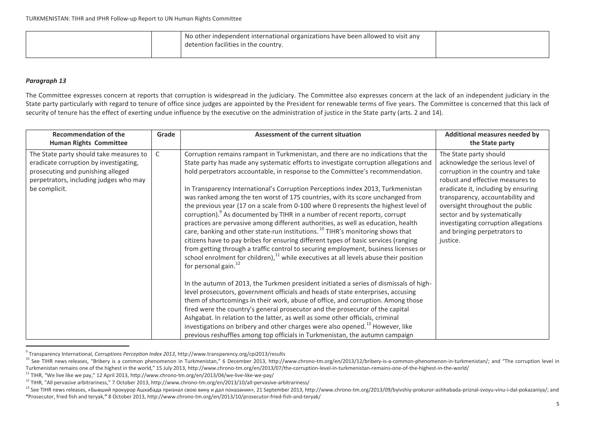| No other independent international organizations have been allowed to visit any<br>detention facilities in the country. |  |
|-------------------------------------------------------------------------------------------------------------------------|--|
|-------------------------------------------------------------------------------------------------------------------------|--|

### *Paragraph 13*

**.** 

The Committee expresses concern at reports that corruption is widespread in the judiciary. The Committee also expresses concern at the lack of an independent judiciary in the State party particularly with regard to tenure of office since judges are appointed by the President for renewable terms of five years. The Committee is concerned that this lack of security of tenure has the effect of exerting undue influence by the executive on the administration of justice in the State party (arts. 2 and 14).

| <b>Recommendation of the</b><br><b>Human Rights Committee</b>                                                                                                                     | Grade | Assessment of the current situation                                                                                                                                                                                                                                                                                                                                                                                                                                                                                                                                                                                                                                                                                                                                                                                                                                                                                                                                                                                                                                                                                                                                                                                                                                                                                                                                                                                                                                                                                                                                                                                                                                                                                        | Additional measures needed by<br>the State party                                                                                                                                                                                                                                                                                                                       |
|-----------------------------------------------------------------------------------------------------------------------------------------------------------------------------------|-------|----------------------------------------------------------------------------------------------------------------------------------------------------------------------------------------------------------------------------------------------------------------------------------------------------------------------------------------------------------------------------------------------------------------------------------------------------------------------------------------------------------------------------------------------------------------------------------------------------------------------------------------------------------------------------------------------------------------------------------------------------------------------------------------------------------------------------------------------------------------------------------------------------------------------------------------------------------------------------------------------------------------------------------------------------------------------------------------------------------------------------------------------------------------------------------------------------------------------------------------------------------------------------------------------------------------------------------------------------------------------------------------------------------------------------------------------------------------------------------------------------------------------------------------------------------------------------------------------------------------------------------------------------------------------------------------------------------------------------|------------------------------------------------------------------------------------------------------------------------------------------------------------------------------------------------------------------------------------------------------------------------------------------------------------------------------------------------------------------------|
| The State party should take measures to<br>eradicate corruption by investigating,<br>prosecuting and punishing alleged<br>perpetrators, including judges who may<br>be complicit. | C     | Corruption remains rampant in Turkmenistan, and there are no indications that the<br>State party has made any systematic efforts to investigate corruption allegations and<br>hold perpetrators accountable, in response to the Committee's recommendation.<br>In Transparency International's Corruption Perceptions Index 2013, Turkmenistan<br>was ranked among the ten worst of 175 countries, with its score unchanged from<br>the previous year (17 on a scale from 0-100 where 0 represents the highest level of<br>corruption). As documented by TIHR in a number of recent reports, corrupt<br>practices are pervasive among different authorities, as well as education, health<br>care, banking and other state-run institutions. <sup>10</sup> TIHR's monitoring shows that<br>citizens have to pay bribes for ensuring different types of basic services (ranging<br>from getting through a traffic control to securing employment, business licenses or<br>school enrolment for children), $^{11}$ while executives at all levels abuse their position<br>for personal gain. <sup>12</sup><br>In the autumn of 2013, the Turkmen president initiated a series of dismissals of high-<br>level prosecutors, government officials and heads of state enterprises, accusing<br>them of shortcomings in their work, abuse of office, and corruption. Among those<br>fired were the country's general prosecutor and the prosecutor of the capital<br>Ashgabat. In relation to the latter, as well as some other officials, criminal<br>investigations on bribery and other charges were also opened. <sup>13</sup> However, like<br>previous reshuffles among top officials in Turkmenistan, the autumn campaign | The State party should<br>acknowledge the serious level of<br>corruption in the country and take<br>robust and effective measures to<br>eradicate it, including by ensuring<br>transparency, accountability and<br>oversight throughout the public<br>sector and by systematically<br>investigating corruption allegations<br>and bringing perpetrators to<br>justice. |

<sup>9</sup> Transparency International, *Corruptions Perception Index 2013*, http://www.transparency.org/cpi2013/results

<sup>&</sup>lt;sup>10</sup> See TIHR news releases, "Bribery is a common phenomenon in Turkmenistan," 6 December 2013, http://www.chrono-tm.org/en/2013/12/bribery-is-a-common-phenomenon-in-turkmenistan/; and "The corruption level in Turkmenistan remains one of the highest in the world," 15 July 2013, http://www.chrono-tm.org/en/2013/07/the-corruption-level-in-turkmenistan-remains-one-of-the-highest-in-the-world/

<sup>11</sup> TIHR, "We live like we pay," 12 April 2013, http://www.chrono-tm.org/en/2013/04/we-live-like-we-pay/

 $12$  TIHR, "All pervasive arbitrariness," 7 October 2013, http://www.chrono-tm.org/en/2013/10/all-pervasive-arbitrariness/

<sup>&</sup>lt;sup>13</sup> See TIHR news releases, «Бывший прокурор Ашхабада признал свою вину и дал показания», 21 September 2013, http://www.chrono-tm.org/2013/09/byivshiy-prokuror-ashhabada-priznal-svoyu-vinu-i-dal-pokazaniya/; and **"**Prosecutor, fried fish and teryak,**"** 8 October 2013, http://www.chrono-tm.org/en/2013/10/prosecutor-fried-fish-and-teryak/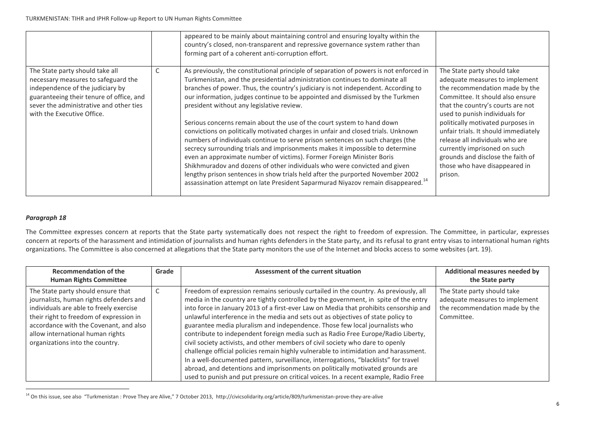|                                                                                                                                                                                                                                 |   | appeared to be mainly about maintaining control and ensuring loyalty within the<br>country's closed, non-transparent and repressive governance system rather than<br>forming part of a coherent anti-corruption effort.                                                                                                                                                                                                                                                                                                                                                                      |                                                                                                                                                                                                                                                 |
|---------------------------------------------------------------------------------------------------------------------------------------------------------------------------------------------------------------------------------|---|----------------------------------------------------------------------------------------------------------------------------------------------------------------------------------------------------------------------------------------------------------------------------------------------------------------------------------------------------------------------------------------------------------------------------------------------------------------------------------------------------------------------------------------------------------------------------------------------|-------------------------------------------------------------------------------------------------------------------------------------------------------------------------------------------------------------------------------------------------|
| The State party should take all<br>necessary measures to safeguard the<br>independence of the judiciary by<br>guaranteeing their tenure of office, and<br>sever the administrative and other ties<br>with the Executive Office. | J | As previously, the constitutional principle of separation of powers is not enforced in<br>Turkmenistan, and the presidential administration continues to dominate all<br>branches of power. Thus, the country's judiciary is not independent. According to<br>our information, judges continue to be appointed and dismissed by the Turkmen<br>president without any legislative review.<br>Serious concerns remain about the use of the court system to hand down                                                                                                                           | The State party should take<br>adequate measures to implement<br>the recommendation made by the<br>Committee. It should also ensure<br>that the country's courts are not<br>used to punish individuals for<br>politically motivated purposes in |
|                                                                                                                                                                                                                                 |   | convictions on politically motivated charges in unfair and closed trials. Unknown<br>numbers of individuals continue to serve prison sentences on such charges (the<br>secrecy surrounding trials and imprisonments makes it impossible to determine<br>even an approximate number of victims). Former Foreign Minister Boris<br>Shikhmuradov and dozens of other individuals who were convicted and given<br>lengthy prison sentences in show trials held after the purported November 2002<br>assassination attempt on late President Saparmurad Niyazov remain disappeared. <sup>14</sup> | unfair trials. It should immediately<br>release all individuals who are<br>currently imprisoned on such<br>grounds and disclose the faith of<br>those who have disappeared in<br>prison.                                                        |

## *Paragraph 18*

**.** 

The Committee expresses concern at reports that the State party systematically does not respect the right to freedom of expression. The Committee, in particular, expresses concern at reports of the harassment and intimidation of journalists and human rights defenders in the State party, and its refusal to grant entry visas to international human rights organizations. The Committee is also concerned at allegations that the State party monitors the use of the Internet and blocks access to some websites (art. 19).

| <b>Recommendation of the</b><br><b>Human Rights Committee</b>                                                                                                                                                                                                                        | Grade | Assessment of the current situation                                                                                                                                                                                                                                                                                                                                                                                                                                                                                                                                                                                                                                                                                                                                                                                                                                                                                                                                   | Additional measures needed by<br>the State party                                                              |
|--------------------------------------------------------------------------------------------------------------------------------------------------------------------------------------------------------------------------------------------------------------------------------------|-------|-----------------------------------------------------------------------------------------------------------------------------------------------------------------------------------------------------------------------------------------------------------------------------------------------------------------------------------------------------------------------------------------------------------------------------------------------------------------------------------------------------------------------------------------------------------------------------------------------------------------------------------------------------------------------------------------------------------------------------------------------------------------------------------------------------------------------------------------------------------------------------------------------------------------------------------------------------------------------|---------------------------------------------------------------------------------------------------------------|
| The State party should ensure that<br>journalists, human rights defenders and<br>individuals are able to freely exercise<br>their right to freedom of expression in<br>accordance with the Covenant, and also<br>allow international human rights<br>organizations into the country. |       | Freedom of expression remains seriously curtailed in the country. As previously, all<br>media in the country are tightly controlled by the government, in spite of the entry<br>into force in January 2013 of a first-ever Law on Media that prohibits censorship and<br>unlawful interference in the media and sets out as objectives of state policy to<br>guarantee media pluralism and independence. Those few local journalists who<br>contribute to independent foreign media such as Radio Free Europe/Radio Liberty,<br>civil society activists, and other members of civil society who dare to openly<br>challenge official policies remain highly vulnerable to intimidation and harassment.<br>In a well-documented pattern, surveillance, interrogations, "blacklists" for travel<br>abroad, and detentions and imprisonments on politically motivated grounds are<br>used to punish and put pressure on critical voices. In a recent example, Radio Free | The State party should take<br>adequate measures to implement<br>the recommendation made by the<br>Committee. |

<sup>&</sup>lt;sup>14</sup> On this issue, see also "Turkmenistan : Prove They are Alive," 7 October 2013, http://civicsolidarity.org/article/809/turkmenistan-prove-they-are-alive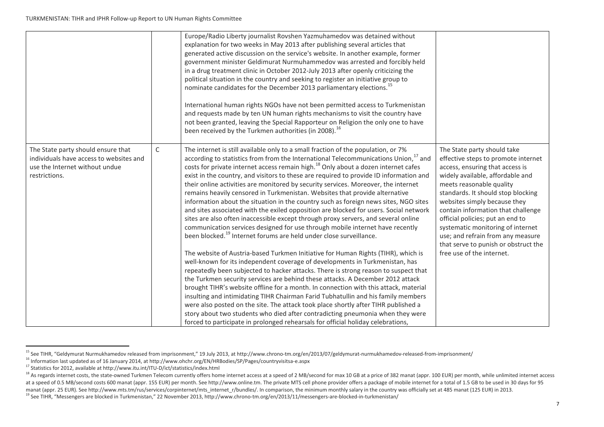|                                                                                                                                  |   | Europe/Radio Liberty journalist Rovshen Yazmuhamedov was detained without<br>explanation for two weeks in May 2013 after publishing several articles that<br>generated active discussion on the service's website. In another example, former<br>government minister Geldimurat Nurmuhammedov was arrested and forcibly held<br>in a drug treatment clinic in October 2012-July 2013 after openly criticizing the<br>political situation in the country and seeking to register an initiative group to<br>nominate candidates for the December 2013 parliamentary elections. <sup>15</sup><br>International human rights NGOs have not been permitted access to Turkmenistan<br>and requests made by ten UN human rights mechanisms to visit the country have<br>not been granted, leaving the Special Rapporteur on Religion the only one to have<br>been received by the Turkmen authorities (in 2008). <sup>16</sup>                                                                         |                                                                                                                                                                                                                                                                                                                                                                                                                                         |
|----------------------------------------------------------------------------------------------------------------------------------|---|-------------------------------------------------------------------------------------------------------------------------------------------------------------------------------------------------------------------------------------------------------------------------------------------------------------------------------------------------------------------------------------------------------------------------------------------------------------------------------------------------------------------------------------------------------------------------------------------------------------------------------------------------------------------------------------------------------------------------------------------------------------------------------------------------------------------------------------------------------------------------------------------------------------------------------------------------------------------------------------------------|-----------------------------------------------------------------------------------------------------------------------------------------------------------------------------------------------------------------------------------------------------------------------------------------------------------------------------------------------------------------------------------------------------------------------------------------|
| The State party should ensure that<br>individuals have access to websites and<br>use the Internet without undue<br>restrictions. | C | The internet is still available only to a small fraction of the population, or 7%<br>according to statistics from from the International Telecommunications Union, <sup>17</sup> and<br>costs for private internet access remain high. <sup>18</sup> Only about a dozen internet cafes<br>exist in the country, and visitors to these are required to provide ID information and<br>their online activities are monitored by security services. Moreover, the internet<br>remains heavily censored in Turkmenistan. Websites that provide alternative<br>information about the situation in the country such as foreign news sites, NGO sites<br>and sites associated with the exiled opposition are blocked for users. Social network<br>sites are also often inaccessible except through proxy servers, and several online<br>communication services designed for use through mobile internet have recently<br>been blocked. <sup>19</sup> Internet forums are held under close surveillance. | The State party should take<br>effective steps to promote internet<br>access, ensuring that access is<br>widely available, affordable and<br>meets reasonable quality<br>standards. It should stop blocking<br>websites simply because they<br>contain information that challenge<br>official policies; put an end to<br>systematic monitoring of internet<br>use; and refrain from any measure<br>that serve to punish or obstruct the |
|                                                                                                                                  |   | The website of Austria-based Turkmen Initiative for Human Rights (TIHR), which is<br>well-known for its independent coverage of developments in Turkmenistan, has<br>repeatedly been subjected to hacker attacks. There is strong reason to suspect that<br>the Turkmen security services are behind these attacks. A December 2012 attack<br>brought TIHR's website offline for a month. In connection with this attack, material<br>insulting and intimidating TIHR Chairman Farid Tubhatullin and his family members<br>were also posted on the site. The attack took place shortly after TIHR published a<br>story about two students who died after contradicting pneumonia when they were<br>forced to participate in prolonged rehearsals for official holiday celebrations,                                                                                                                                                                                                             | free use of the internet.                                                                                                                                                                                                                                                                                                                                                                                                               |

**.** 

<sup>&</sup>lt;sup>15</sup> See TIHR, "Geldymurat Nurmukhamedov released from imprisonment," 19 July 2013, at http://www.chrono-tm.org/en/2013/07/geldymurat-nurmukhamedov-released-from-imprisonment/

<sup>&</sup>lt;sup>16</sup> Information last updated as of 16 January 2014, at http://www.ohchr.org/EN/HRBodies/SP/Pages/countryvisitsa-e.aspx

 $17$  Statistics for 2012, available at http://www.itu.int/ITU-D/ict/statistics/index.html

<sup>&</sup>lt;sup>18</sup> As regards internet costs, the state-owned Turkmen Telecom currently offers home internet access at a speed of 2 MB/second for max 10 GB at a price of 382 manat (appr. 100 EUR) per month, while unlimited internet acce at a speed of 0.5 MB/second costs 600 manat (appr. 155 EUR) per month. See http://www.online.tm. The private MTS cell phone provider offers a package of mobile internet for a total of 1.5 GB to be used in 30 days for 95 manat (appr. 25 EUR). See http://www.mts.tm/rus/services/corpinternet/mts\_internet\_r/bundles/. In comparison, the minimum monthly salary in the country was officially set at 485 manat (125 EUR) in 2013.

<sup>&</sup>lt;sup>19</sup> See TIHR, "Messengers are blocked in Turkmenistan," 22 November 2013, http://www.chrono-tm.org/en/2013/11/messengers-are-blocked-in-turkmenistan/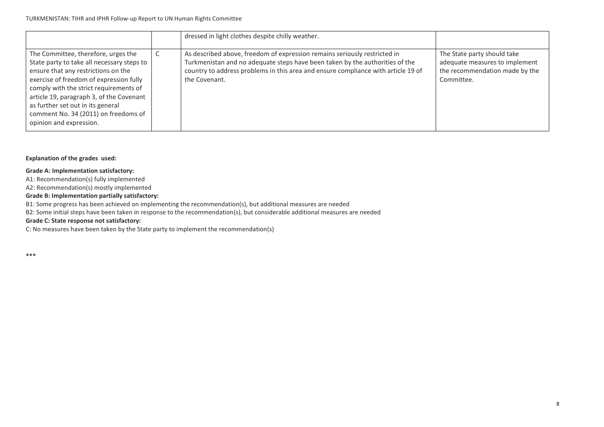|                                                                                                                                                                                                                                                                                                                                                                   | dressed in light clothes despite chilly weather.                                                                                                                                                                                                                |                                                                                                               |
|-------------------------------------------------------------------------------------------------------------------------------------------------------------------------------------------------------------------------------------------------------------------------------------------------------------------------------------------------------------------|-----------------------------------------------------------------------------------------------------------------------------------------------------------------------------------------------------------------------------------------------------------------|---------------------------------------------------------------------------------------------------------------|
| The Committee, therefore, urges the<br>State party to take all necessary steps to<br>ensure that any restrictions on the<br>exercise of freedom of expression fully<br>comply with the strict requirements of<br>article 19, paragraph 3, of the Covenant<br>as further set out in its general<br>comment No. 34 (2011) on freedoms of<br>opinion and expression. | As described above, freedom of expression remains seriously restricted in<br>Turkmenistan and no adequate steps have been taken by the authorities of the<br>country to address problems in this area and ensure compliance with article 19 of<br>the Covenant. | The State party should take<br>adequate measures to implement<br>the recommendation made by the<br>Committee. |

### **Explanation of the grades used:**

## **Grade A: Implementation satisfactory:**

A1: Recommendation(s) fully implemented

A2: Recommendation(s) mostly implemented

#### **Grade B: Implementation partially satisfactory:**

B1: Some progress has been achieved on implementing the recommendation(s), but additional measures are needed

B2: Some initial steps have been taken in response to the recommendation(s), but considerable additional measures are needed

## **Grade C: State response not satisfactory:**

C: No measures have been taken by the State party to implement the recommendation(s)

**\*\*\***